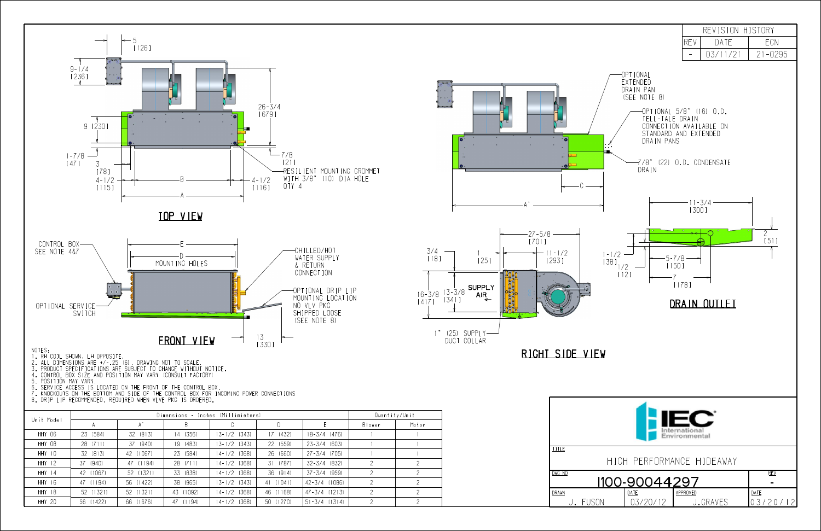





1. RH COIL SHOWN, LH OPPOSITE.

2. ALL DIMENSIONS ARE +/-.25 (6). DRAWING NOT TO SCALE.

3. PRODUCT SPECIFICATIONS ARE SUBJECT TO CHANGE WITHOUT NOTICE.

| Unit Model    | Dimensions - Inches (Millimieters) |               |              |                     |           |                     | Quantity/Unit |       |
|---------------|------------------------------------|---------------|--------------|---------------------|-----------|---------------------|---------------|-------|
|               | A                                  | A.            | B            | ◡                   |           |                     | Blower        | Motor |
| HHY 06        | 23 (584)                           | 32 (813)      | 14 (356)     | $13 - 1/2$ (343)    | 17 (432)  | 18-3/4 (476)        |               |       |
| <b>HHY 08</b> | 28 (711)                           | 37 (940)      | 19 (483)     | $13 - 1/2$<br>(343) | 22 (559)  | 23-3/4 (603)        |               |       |
| <b>HHY 10</b> | 32 (813)                           | 42 (1067)     | 23 (584)     | $14 - 1/2$ (368)    | 26 (660)  | $27 - 3/4$ (705)    |               |       |
| <b>HHY 12</b> | 37 (940)                           | 47 (1194)     | 28 (711)     | 14-1/2 (368)        | 31 (787)  | 32-3/4 (832)        |               |       |
| $HHY$ 14      | 42 (1067)                          | (1321)<br>52. | 33 (838)     | (368)<br>$14 - 1/2$ | 36 (914)  | 37-3/4 (959)        |               |       |
| <b>HHY 16</b> | 47 (1194)                          | 56 (1422)     | 38 (965)     | $13 - 1/2$ (343)    | 41 (1041) | 42-3/4 (1086)       |               |       |
| <b>HHY 18</b> | 52 (1321)                          | 52 (1321)     | (1092)<br>43 | (368)<br>$14 - 1/2$ | 46 (1168) | $47 - 3/4$ $(1213)$ |               |       |
| <b>HHY 20</b> | 56 (1422)                          | 66 (1676)     | (1194)<br>47 | (368)<br>14-1/2     | 50 (1270) | $51 - 3/4$ (1314)   | $\mathcal{P}$ |       |



4. CONTROL BOX SIZE AND POSITION MAY VARY (CONSULT FACTORY)

5. POSITION MAY VARY.

6. SERVICE ACCESS IS LOCATED ON THE FRONT OF THE CONTROL BOX.

7. KNOCKOUTS ON THE BOTTOM AND SIDE OF THE CONTROL BOX FOR INCOMING POWER CONNECTIONS

8. DRIP LIP RECOMMENDED. REQUIRED WHEN VLVE PKG IS ORDERED.